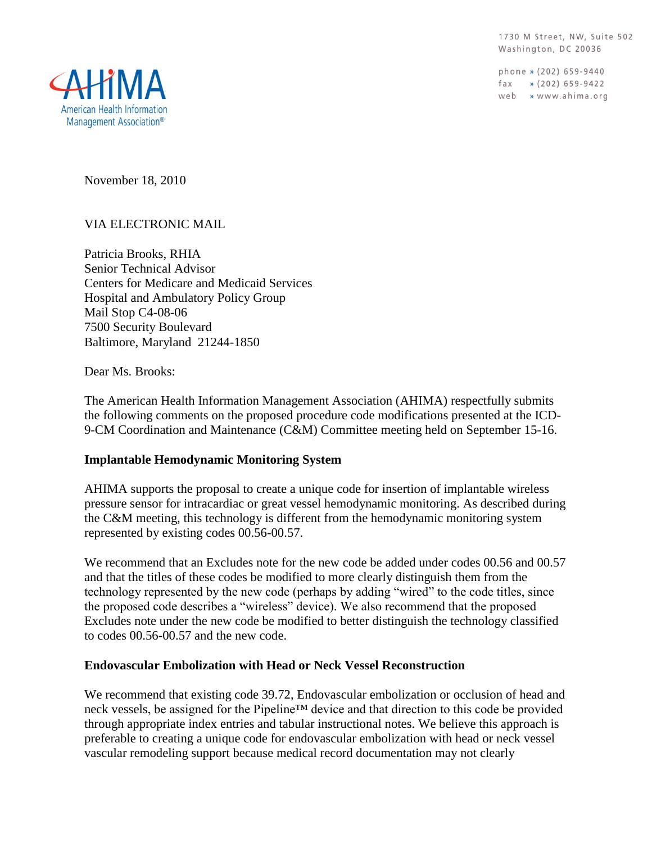1730 M Street, NW, Suite 502 Washington, DC 20036

phone » (202) 659-9440 fax  $\sqrt{202}$  659-9422 web » www.ahima.org



November 18, 2010

## VIA ELECTRONIC MAIL

Patricia Brooks, RHIA Senior Technical Advisor Centers for Medicare and Medicaid Services Hospital and Ambulatory Policy Group Mail Stop C4-08-06 7500 Security Boulevard Baltimore, Maryland 21244-1850

Dear Ms. Brooks:

The American Health Information Management Association (AHIMA) respectfully submits the following comments on the proposed procedure code modifications presented at the ICD-9-CM Coordination and Maintenance (C&M) Committee meeting held on September 15-16.

## **Implantable Hemodynamic Monitoring System**

AHIMA supports the proposal to create a unique code for insertion of implantable wireless pressure sensor for intracardiac or great vessel hemodynamic monitoring. As described during the C&M meeting, this technology is different from the hemodynamic monitoring system represented by existing codes 00.56-00.57.

We recommend that an Excludes note for the new code be added under codes 00.56 and 00.57 and that the titles of these codes be modified to more clearly distinguish them from the technology represented by the new code (perhaps by adding "wired" to the code titles, since the proposed code describes a "wireless" device). We also recommend that the proposed Excludes note under the new code be modified to better distinguish the technology classified to codes 00.56-00.57 and the new code.

# **Endovascular Embolization with Head or Neck Vessel Reconstruction**

We recommend that existing code 39.72, Endovascular embolization or occlusion of head and neck vessels, be assigned for the Pipeline™ device and that direction to this code be provided through appropriate index entries and tabular instructional notes. We believe this approach is preferable to creating a unique code for endovascular embolization with head or neck vessel vascular remodeling support because medical record documentation may not clearly